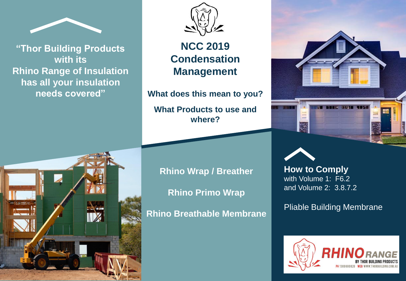

**"Thor Building Products with its Rhino Range of Insulation has all your insulation needs covered"** 



**NCC 2019 Condensation Management**

**What does this mean to you? What Products to use and where?**





**Rhino Wrap / Breather Rhino Primo Wrap Rhino Breathable Membrane**

**How to Comply**  with Volume 1: F6.2 and Volume 2: 3.8.7.2

Pliable Building Membrane

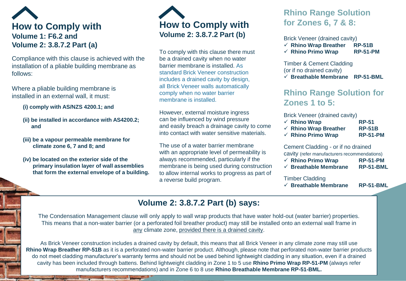# **How to Comply with Volume 1: F6.2 and Volume 2: 3.8.7.2 Part (a)**

Compliance with this clause is achieved with the installation of a pliable building membrane as follows:

Where a pliable building membrane is installed in an external wall, it must:

**(i) comply with AS/NZS 4200.1; and** 

- **(ii) be installed in accordance with AS4200.2; and**
- **(iii) be a vapour permeable membrane for climate zone 6, 7 and 8; and**
- **(iv) be located on the exterior side of the primary insulation layer of wall assemblies that form the external envelope of a building.**



To comply with this clause there must be a drained cavity when no water barrier membrane is installed. As standard Brick Veneer construction includes a drained cavity by design, all Brick Veneer walls automatically comply when no water barrier membrane is installed.

However, external moisture ingress can be influenced by wind pressure and easily breach a drainage cavity to come into contact with water sensitive materials.

The use of a water barrier membrane with an appropriate level of permeability is always recommended, particularly if the membrane is being used during construction to allow internal works to progress as part of a reverse build program.

## **Rhino Range Solution for Zones 6, 7 & 8:**

Brick Veneer (drained cavity)

- ✓ **Rhino Wrap Breather RP-51B**
- ✓ **Rhino Primo Wrap RP-51-PM**

Timber & Cement Cladding (or if no drained cavity)

✓ **Breathable Membrane RP-51-BML**

## **Rhino Range Solution for Zones 1 to 5:**

Brick Veneer (drained cavity)

| $\checkmark$ Rhino Wrap          | <b>RP-51</b>    |
|----------------------------------|-----------------|
| $\checkmark$ Rhino Wrap Breather | <b>RP-51B</b>   |
| $\checkmark$ Rhino Primo Wrap    | <b>RP-51-PM</b> |

Cement Cladding - or if no drained

cavity (refer manufacturers recommendations)

| $\checkmark$ Rhino Primo Wrap    | <b>RP-51-PM</b> |
|----------------------------------|-----------------|
| $\checkmark$ Breathable Membrane | RP-51-BML       |

Timber Cladding

✓ **Breathable Membrane RP-51-BML**

## **Volume 2: 3.8.7.2 Part (b) says:**

The Condensation Management clause will only apply to wall wrap products that have water hold-out (water barrier) properties. This means that a non-water barrier (or a perforated foil breather product) may still be installed onto an external wall frame in any climate zone, provided there is a drained cavity.

As Brick Veneer construction includes a drained cavity by default, this means that all Brick Veneer in any climate zone may still use **Rhino Wrap Breather RP-51B** as it is a perforated non-water barrier product. Although, please note that perforated non-water barrier products do not meet cladding manufacturer's warranty terms and should not be used behind lightweight cladding in any situation, even if a drained cavity has been included through battens. Behind lightweight cladding in Zone 1 to 5 use **Rhino Primo Wrap RP-51-PM** (always refer manufacturers recommendations) and in Zone 6 to 8 use **Rhino Breathable Membrane RP-51-BML.**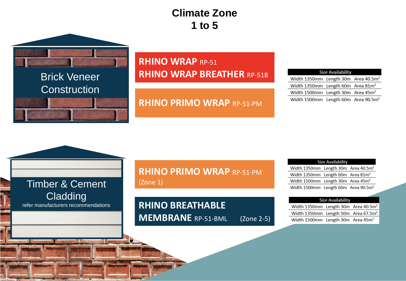# **Climate Zone 1 to 5**



## **RHINO WRAP RP-51 RHINO WRAP BREATHER** RP-51B

## **RHINO PRIMO WRAP** RP-51-PM

#### **Size Availability**

Width 1350mm Length 30m Area 40.5m<sup>2</sup> Width 1350mm Length 60m Area 81m<sup>2</sup> Width 1500mm Length 30m Area 45m<sup>2</sup> Width 1500mm Length 60m Area 90.5m<sup>2</sup>

| Timber & Cement                     |  |  |
|-------------------------------------|--|--|
| <b>Cladding</b>                     |  |  |
| refer manufacturers recommendations |  |  |

**RHINO PRIMO WRAP** RP-51-PM (Zone 1)

## **RHINO BREATHABLE MEMBRANE** RP-51-BML (Zone 2-5)

| Size Availability                               |  |  |  |  |  |
|-------------------------------------------------|--|--|--|--|--|
| Width 1350mm Length 30m Area 40.5m <sup>2</sup> |  |  |  |  |  |
| Width 1350mm Length 60m Area $81m^2$            |  |  |  |  |  |
| Width 1500mm Length 30m Area $45m2$             |  |  |  |  |  |
| Width 1500mm Length 60m Area 90.5m <sup>2</sup> |  |  |  |  |  |
|                                                 |  |  |  |  |  |

#### **Size Availability**

| Width 1350mm Length 30m Area 40.5m <sup>2</sup> |  |
|-------------------------------------------------|--|
| Width 1350mm Length 50m Area 67.5m <sup>2</sup> |  |
| Width 1500mm Length 30m Area 45m <sup>2</sup>   |  |